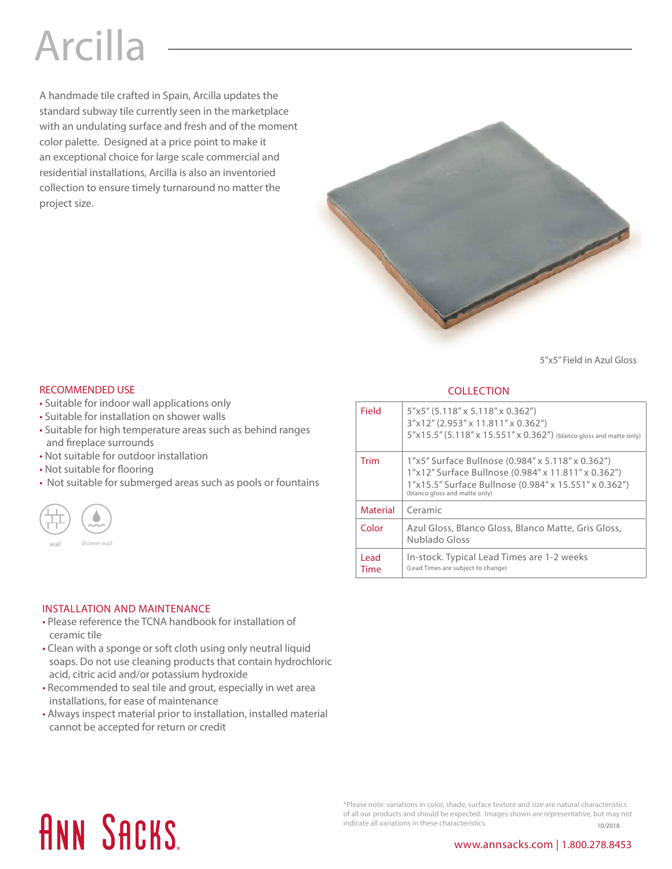## Arcilla

A handmade tile crafted in Spain, Arcilla updates the standard subway tile currently seen in the marketplace with an undulating surface and fresh and of the moment color palette. Designed at a price point to make it an exceptional choice for large scale commercial and residential installations, Arcilla is also an inventoried collection to ensure timely turnaround no matter the project size.



5"x5" Field in Azul Gloss

### RECOMMENDED USE **COLLECTION**

- Suitable for indoor wall applications only
- Suitable for installation on shower walls
- Suitable for high temperature areas such as behind ranges and fireplace surrounds
- Not suitable for outdoor installation
- Not suitable for flooring
- Not suitable for submerged areas such as pools or fountains



| Field           | $5"x5"$ (5.118" x 5.118" x 0.362")<br>3"x12" (2.953" x 11.811" x 0.362")<br>5"x15.5" (5.118" x 15.551" x 0.362") (blanco gloss and matte only)                                                     |
|-----------------|----------------------------------------------------------------------------------------------------------------------------------------------------------------------------------------------------|
| Trim            | 1"x5" Surface Bullnose (0.984" x 5.118" x 0.362")<br>1"x12" Surface Bullnose (0.984" x 11.811" x 0.362")<br>1"x15.5" Surface Bullnose (0.984" x 15.551" x 0.362")<br>(blanco gloss and matte only) |
| <b>Material</b> | Ceramic                                                                                                                                                                                            |
| Color           | Azul Gloss, Blanco Gloss, Blanco Matte, Gris Gloss,<br>Nublado Gloss                                                                                                                               |
| l ead.<br>Time  | In-stock. Typical Lead Times are 1-2 weeks<br>(Lead Times are subject to change)                                                                                                                   |

### INSTALLATION AND MAINTENANCE

- Please reference the TCNA handbook for installation of ceramic tile
- Clean with a sponge or soft cloth using only neutral liquid soaps. Do not use cleaning products that contain hydrochloric acid, citric acid and/or potassium hydroxide
- Recommended to seal tile and grout, especially in wet area installations, for ease of maintenance
- Always inspect material prior to installation, installed material cannot be accepted for return or credit

# **ANN SACKS**

\*Please note: variations in color, shade, surface texture and size are natural characteristics of all our products and should be expected. Images shown are representative, but may not indicate all variations in these characteristics.  $10/2018$